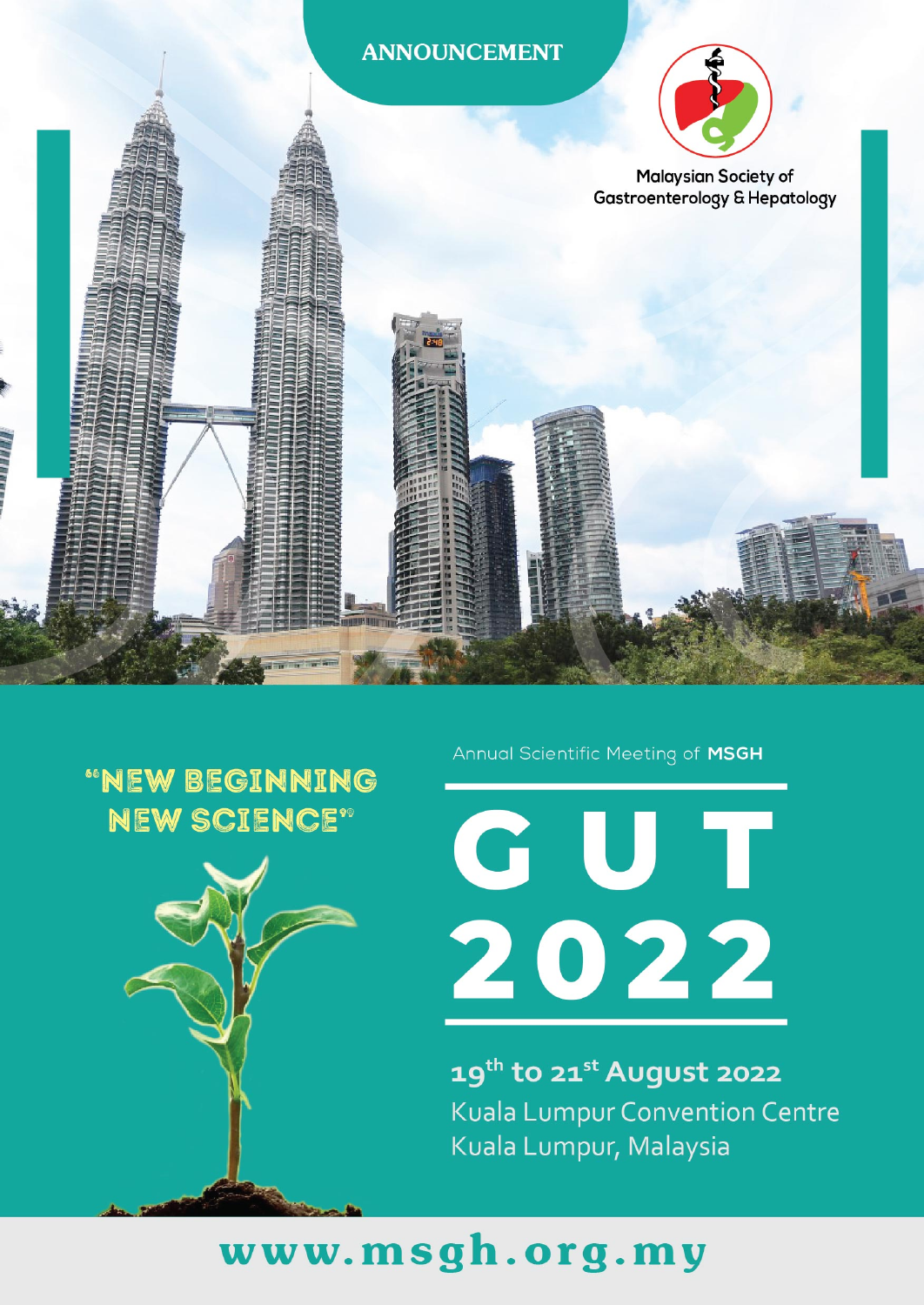#### **ANNOUNCEMENT**



**Malaysian Society of Gastroenterology & Hepatology** 

### "NEW BEGINNING **NEW SCIENCE"**



Annual Scientific Meeting of MSGH

**GUT<br>2022** 

19th to 21st August 2022 **Kuala Lumpur Convention Centre** Kuala Lumpur, Malaysia

## www.msgh.org.my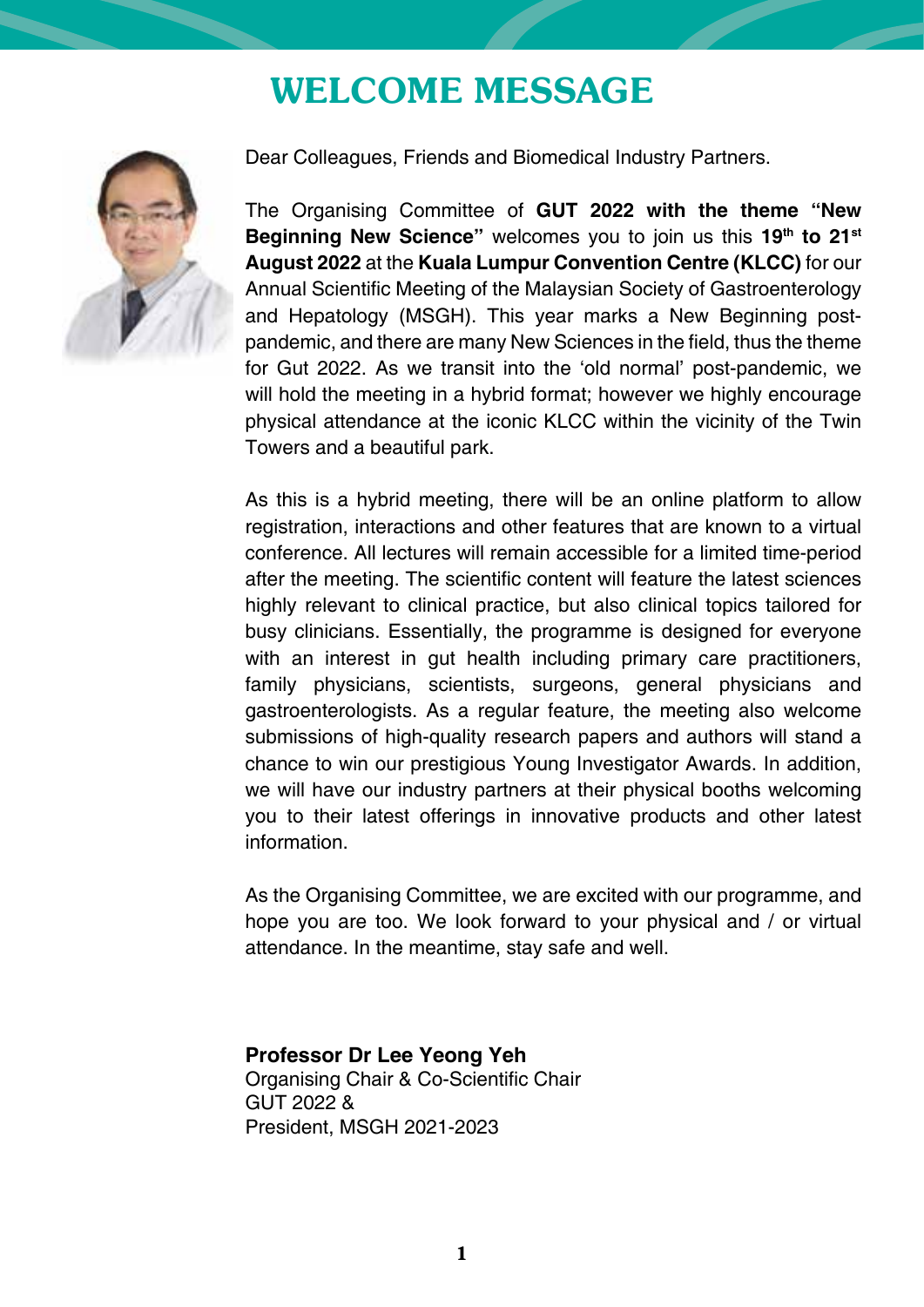### WELCOME MESSAGE



Dear Colleagues, Friends and Biomedical Industry Partners.

The Organising Committee of **GUT 2022 with the theme "New Beginning New Science"** welcomes you to join us this **19th to 21st August 2022** at the **Kuala Lumpur Convention Centre (KLCC)** for our Annual Scientific Meeting of the Malaysian Society of Gastroenterology and Hepatology (MSGH). This year marks a New Beginning postpandemic, and there are many New Sciences in the field, thus the theme for Gut 2022. As we transit into the 'old normal' post-pandemic, we will hold the meeting in a hybrid format; however we highly encourage physical attendance at the iconic KLCC within the vicinity of the Twin Towers and a beautiful park.

As this is a hybrid meeting, there will be an online platform to allow registration, interactions and other features that are known to a virtual conference. All lectures will remain accessible for a limited time-period after the meeting. The scientific content will feature the latest sciences highly relevant to clinical practice, but also clinical topics tailored for busy clinicians. Essentially, the programme is designed for everyone with an interest in gut health including primary care practitioners, family physicians, scientists, surgeons, general physicians and gastroenterologists. As a regular feature, the meeting also welcome submissions of high-quality research papers and authors will stand a chance to win our prestigious Young Investigator Awards. In addition, we will have our industry partners at their physical booths welcoming you to their latest offerings in innovative products and other latest information.

As the Organising Committee, we are excited with our programme, and hope you are too. We look forward to your physical and / or virtual attendance. In the meantime, stay safe and well.

#### **Professor Dr Lee Yeong Yeh**

Organising Chair & Co-Scientific Chair GUT 2022 & President, MSGH 2021-2023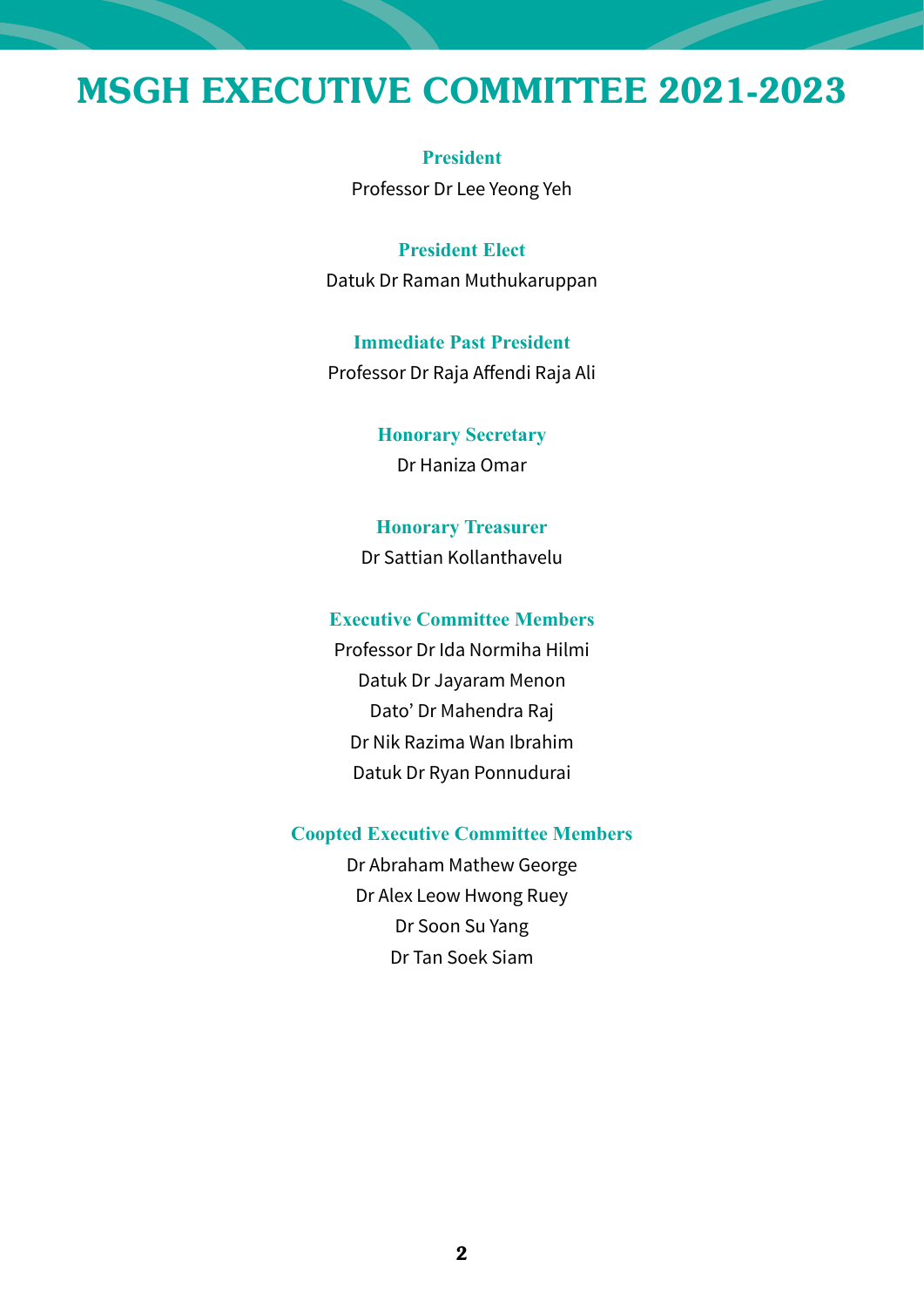### MSGH EXECUTIVE COMMITTEE 2021-2023

**President** Professor Dr Lee Yeong Yeh

**President Elect** Datuk Dr Raman Muthukaruppan

**Immediate Past President** Professor Dr Raja Affendi Raja Ali

> **Honorary Secretary** Dr Haniza Omar

**Honorary Treasurer** Dr Sattian Kollanthavelu

#### **Executive Committee Members**

Professor Dr Ida Normiha Hilmi Datuk Dr Jayaram Menon Dato' Dr Mahendra Raj Dr Nik Razima Wan Ibrahim Datuk Dr Ryan Ponnudurai

#### **Coopted Executive Committee Members**

Dr Abraham Mathew George Dr Alex Leow Hwong Ruey Dr Soon Su Yang Dr Tan Soek Siam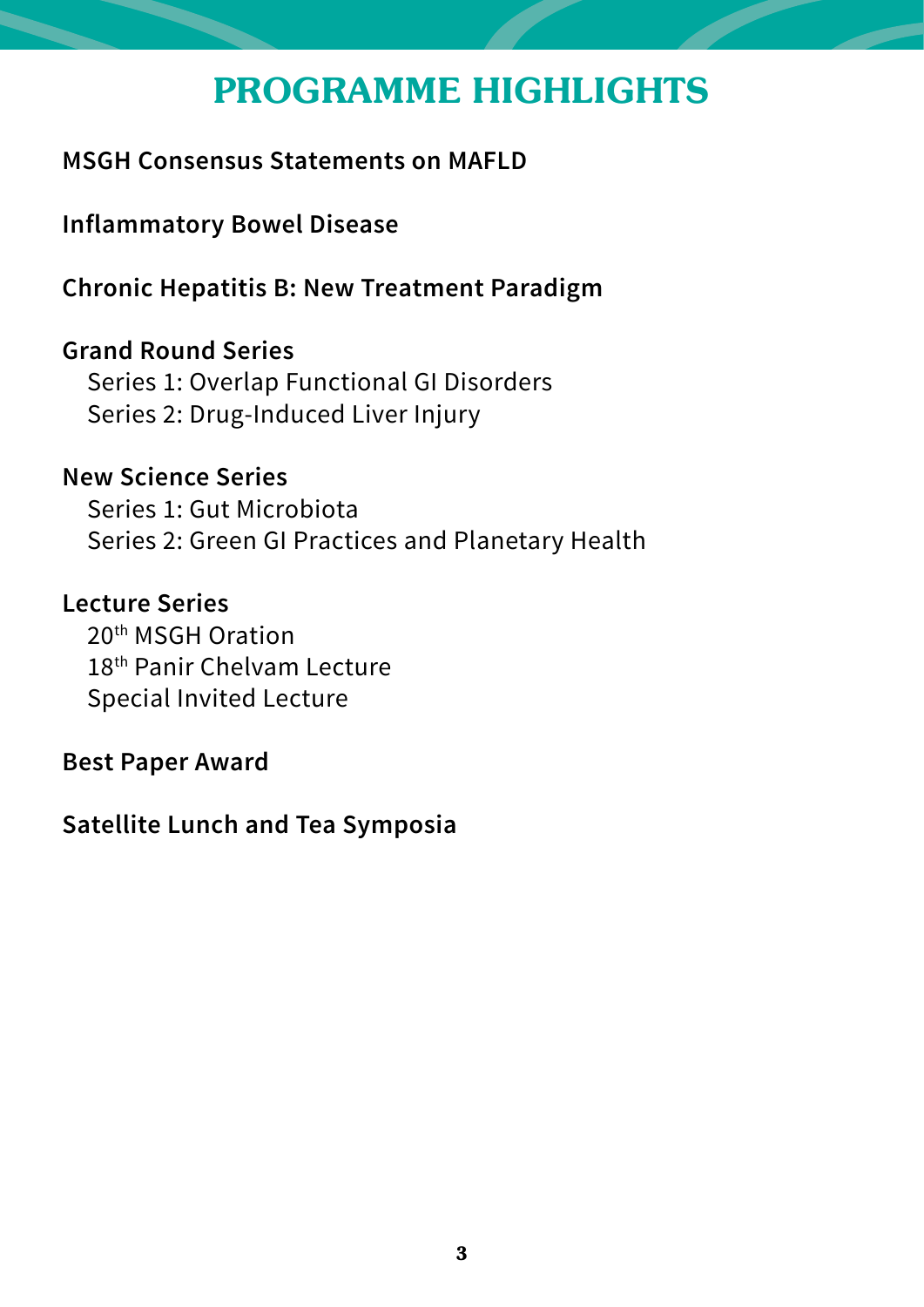## PROGRAMME HIGHLIGHTS

### **MSGH Consensus Statements on MAFLD**

**Inflammatory Bowel Disease**

**Chronic Hepatitis B: New Treatment Paradigm**

**Grand Round Series**  Series 1: Overlap Functional GI Disorders Series 2: Drug-Induced Liver Injury

**New Science Series** Series 1: Gut Microbiota Series 2: Green GI Practices and Planetary Health

**Lecture Series** 20th MSGH Oration 18th Panir Chelvam Lecture Special Invited Lecture

**Best Paper Award**

**Satellite Lunch and Tea Symposia**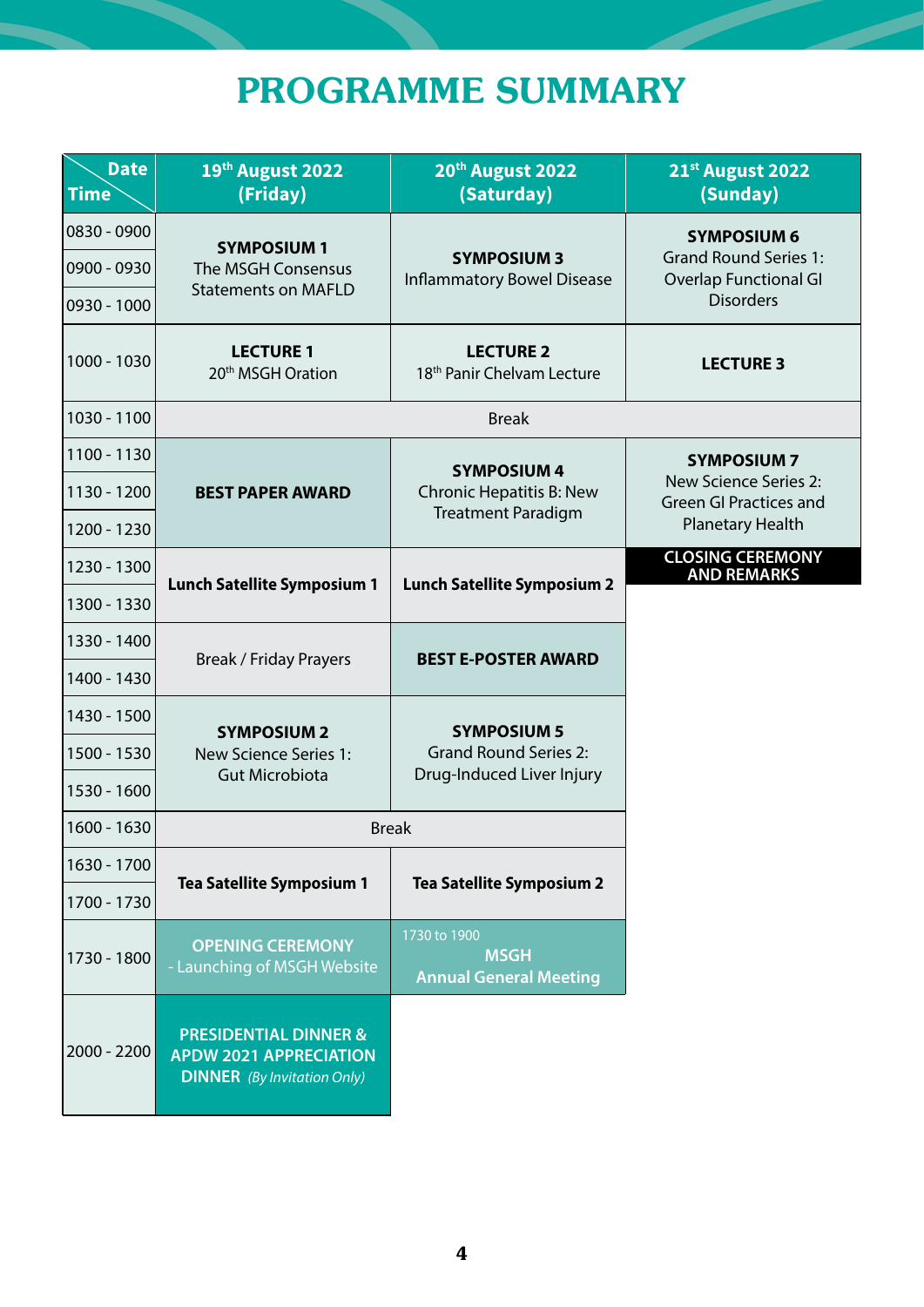# PROGRAMME SUMMARY

| <b>Date</b><br><b>Time</b> | 19th August 2022<br>(Friday)                                                                            | 20th August 2022<br>(Saturday)                               | 21st August 2022<br>(Sunday)                                                                    |  |
|----------------------------|---------------------------------------------------------------------------------------------------------|--------------------------------------------------------------|-------------------------------------------------------------------------------------------------|--|
| 0830 - 0900                | <b>SYMPOSIUM 1</b><br>The MSGH Consensus                                                                | <b>SYMPOSIUM 3</b><br><b>Inflammatory Bowel Disease</b>      | <b>SYMPOSIUM 6</b><br><b>Grand Round Series 1:</b><br>Overlap Functional GI<br><b>Disorders</b> |  |
| 0900 - 0930                |                                                                                                         |                                                              |                                                                                                 |  |
| 0930 - 1000                | <b>Statements on MAFLD</b>                                                                              |                                                              |                                                                                                 |  |
| 1000 - 1030                | <b>LECTURE 1</b><br>20 <sup>th</sup> MSGH Oration                                                       | <b>LECTURE 2</b><br>18 <sup>th</sup> Panir Chelvam Lecture   | <b>LECTURE 3</b>                                                                                |  |
| 1030 - 1100                |                                                                                                         | <b>Break</b>                                                 |                                                                                                 |  |
| 1100 - 1130                |                                                                                                         | <b>SYMPOSIUM 4</b>                                           | <b>SYMPOSIUM 7</b>                                                                              |  |
| 1130 - 1200                | <b>BEST PAPER AWARD</b>                                                                                 | Chronic Hepatitis B: New<br><b>Treatment Paradigm</b>        | New Science Series 2:<br>Green GI Practices and                                                 |  |
| 1200 - 1230                |                                                                                                         |                                                              | <b>Planetary Health</b>                                                                         |  |
| 1230 - 1300                |                                                                                                         |                                                              | <b>CLOSING CEREMONY</b><br><b>AND REMARKS</b>                                                   |  |
| 1300 - 1330                | <b>Lunch Satellite Symposium 1</b>                                                                      | <b>Lunch Satellite Symposium 2</b>                           |                                                                                                 |  |
| 1330 - 1400                | <b>Break / Friday Prayers</b>                                                                           | <b>BEST E-POSTER AWARD</b>                                   |                                                                                                 |  |
| 1400 - 1430                |                                                                                                         |                                                              |                                                                                                 |  |
| 1430 - 1500                | <b>SYMPOSIUM 2</b>                                                                                      | <b>SYMPOSIUM 5</b><br><b>Grand Round Series 2:</b>           |                                                                                                 |  |
| 1500 - 1530                | New Science Series 1:                                                                                   |                                                              |                                                                                                 |  |
| 1530 - 1600                | <b>Gut Microbiota</b>                                                                                   | Drug-Induced Liver Injury                                    |                                                                                                 |  |
| 1600 - 1630                | <b>Break</b>                                                                                            |                                                              |                                                                                                 |  |
| 1630 - 1700                | <b>Tea Satellite Symposium 1</b>                                                                        | <b>Tea Satellite Symposium 2</b>                             |                                                                                                 |  |
| 1700 - 1730                |                                                                                                         |                                                              |                                                                                                 |  |
| 1730 - 1800                | <b>OPENING CEREMONY</b><br>- Launching of MSGH Website                                                  | 1730 to 1900<br><b>MSGH</b><br><b>Annual General Meeting</b> |                                                                                                 |  |
| 2000 - 2200                | <b>PRESIDENTIAL DINNER &amp;</b><br><b>APDW 2021 APPRECIATION</b><br><b>DINNER</b> (By Invitation Only) |                                                              |                                                                                                 |  |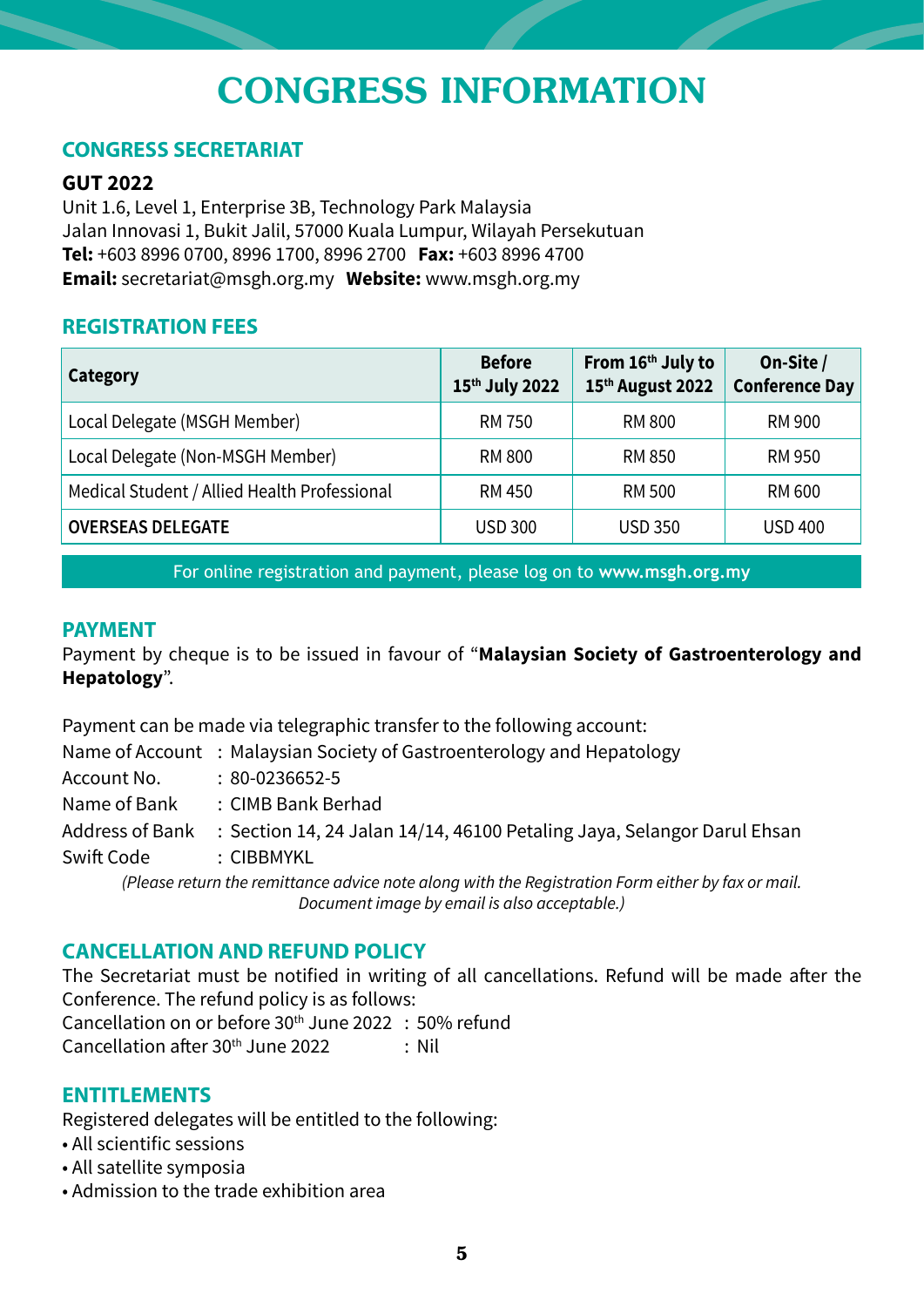## CONGRESS INFORMATION

#### **CONGRESS SECRETARIAT**

#### **GUT 2022**

Unit 1.6, Level 1, Enterprise 3B, Technology Park Malaysia Jalan Innovasi 1, Bukit Jalil, 57000 Kuala Lumpur, Wilayah Persekutuan **Tel:** +603 8996 0700, 8996 1700, 8996 2700 **Fax:** +603 8996 4700 **Email:** secretariat@msgh.org.my **Website:** www.msgh.org.my

#### **REGISTRATION FEES**

| Category                                     | <b>Before</b><br>15th July 2022 | From 16th July to<br>15th August 2022 | On-Site /<br><b>Conference Day</b> |
|----------------------------------------------|---------------------------------|---------------------------------------|------------------------------------|
| Local Delegate (MSGH Member)                 | <b>RM 750</b>                   | RM 800                                | RM 900                             |
| Local Delegate (Non-MSGH Member)             | <b>RM 800</b>                   | <b>RM 850</b>                         | RM 950                             |
| Medical Student / Allied Health Professional | RM 450                          | RM 500                                | RM 600                             |
| <b>OVERSEAS DELEGATE</b>                     | <b>USD 300</b>                  | <b>USD 350</b>                        | <b>USD 400</b>                     |

For online registration and payment, please log on to **www.msgh.org.my**

#### **PAYMENT**

Payment by cheque is to be issued in favour of "**Malaysian Society of Gastroenterology and Hepatology**".

Payment can be made via telegraphic transfer to the following account:

Name of Account : Malaysian Society of Gastroenterology and Hepatology

Account No. : 80-0236652-5

Name of Bank : CIMB Bank Berhad

Address of Bank : Section 14, 24 Jalan 14/14, 46100 Petaling Jaya, Selangor Darul Ehsan

Swift Code : CIBBMYKL

*(Please return the remittance advice note along with the Registration Form either by fax or mail. Document image by email is also acceptable.)*

#### **CANCELLATION AND REFUND POLICY**

The Secretariat must be notified in writing of all cancellations. Refund will be made after the Conference. The refund policy is as follows:

Cancellation on or before 30th June 2022 : 50% refund Cancellation after  $30<sup>th</sup>$  June 2022 : Nil

#### **ENTITLEMENTS**

Registered delegates will be entitled to the following:

- All scientific sessions
- All satellite symposia
- Admission to the trade exhibition area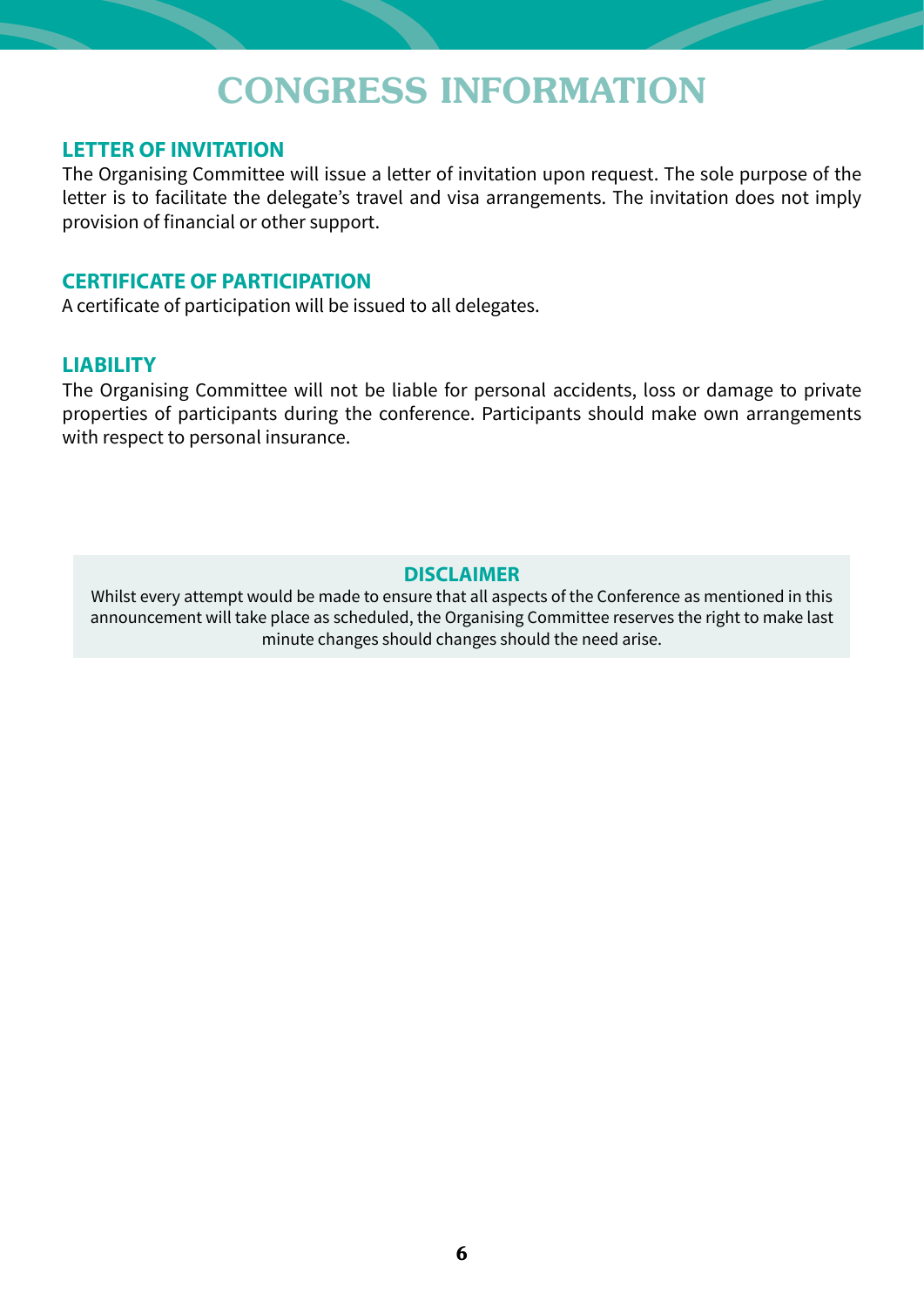### CONGRESS INFORMATION

#### **LETTER OF INVITATION**

The Organising Committee will issue a letter of invitation upon request. The sole purpose of the letter is to facilitate the delegate's travel and visa arrangements. The invitation does not imply provision of financial or other support.

#### **CERTIFICATE OF PARTICIPATION**

A certificate of participation will be issued to all delegates.

#### **LIABILITY**

The Organising Committee will not be liable for personal accidents, loss or damage to private properties of participants during the conference. Participants should make own arrangements with respect to personal insurance.

#### **DISCLAIMER**

Whilst every attempt would be made to ensure that all aspects of the Conference as mentioned in this announcement will take place as scheduled, the Organising Committee reserves the right to make last minute changes should changes should the need arise.